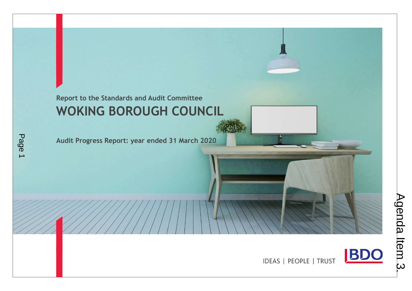# Report to the Standards and Audit Committee WOKING BOROUGH COUNCIL

Audit Progress Report: year ended 31 March 2020

Page 1



IDEAS | PEOPLE | TRUST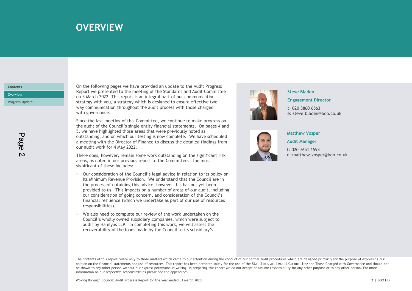# over the state of the **OVERVIEW** in the state of the state of the state of the state of the state of the state of the state of the state of the state of the state of the state of the state of the state of the state of the

### **Contents**

On the following pages we have provided an update to the Audit Progress Report we presented to the meeting of the Standards and Audit Committee Overview **Example 2022.** This report is an integral part of our communication Progress Update **Strategy with you, a strategy which is designed to ensure effective two Progress Update OVERVIEW**<br>
On the following pages we have provided an update to the Audit Progress<br>
Report we presented to the meeting of the Standards and Audit Committee<br>
on 3 March 2022. This report is an integral part of our communic **OVERVIEW**<br>
On the following pages we have provided an update to the Audit Progress<br>
Report we presented to the meeting of the Standards and Audit Committee<br>
on 3 March 2022. This report is an integral part of our communic

Since the last meeting of this Committee, we continue to make progress on the audit of the Council's single entity financial statements. On pages 4 and 5, we have highlighted those areas that were previously noted as outstanding, and on which our testing is now complete. We have scheduled a meeting with the Director of Finance to discuss the detailed findings from our audit work for 4 May 2022.

There does, however, remain some work outstanding on the significant risk areas, as noted in our previous report to the Committee. The most significant of these includes:

- There does, however, remain some work outstanding on the significant risk<br>
areas, as noted in our previous report to the Council:<br>
Significant of these includes:<br>
The process of obtaining this advice, however this has not • Our consideration of the Council's legal advice in relation to its policy on its Minimum Revenue Provision. We understand that the Council are in the process of obtaining this advice, however this has not yet been provided to us. This impacts on a number of areas of our audit, including our consideration of going concern, and consideration of the Council's financial resilience (which we undertake as part of our use of resources responsibilities). and to the Countrillation of going to the control of the Countrillation<br>of the computation in the state of the control of the and the properties we have the last meeting of this Committee, we continue to make progress on<br>a
- We also need to complete our review of the work undertaken on the Council's wholly owned subsidiary companies, which were subject to recoverability of the loans made by the Council to its subsidiary's.



#### Steve Bladen

#### Engagement Director

t: 020 3860 6563 e: steve.bladen@bdo.co.uk



#### Matthew Vosper

Audit Manager

t: 020 7651 1593 e: matthew.vosper@bdo.co.uk

The contents of this report relate only to those matters which came to our attention during the conduct of our normal audit procedures which are designed primarily for the purpose of expressing our opinion on the financial statements and use of resources. This report has been prepared solely for the use of the Standards and Audit Committee and Those Charged with Governance and should not be shown to any other person without our express permission in writing. In preparing this report we do not accept or assume responsibility for any other purpose or to any other person. For more information on our respective responsibilities please see the appendices.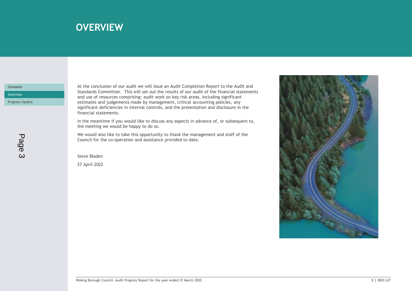# over the summary of the control of the summary summary  $\sim$  10  $\mu$  m  $\sim$  10  $\mu$  m  $\sim$  10  $\mu$  m  $\sim$  10  $\mu$

### **Contents**

At the conclusion of our audit we will issue an Audit Completion Report to the Audit and Standards Committee. This will set out the results of our audit of the financial statements Overview **Example 2008** Commences comprising: audit work on key risk areas, including significant and the comprision of the comprision of the comprision of the comprision of the comprision of the comprision of the comprisi Progress Update **Extending Contains and support management** and accounting policies, any **Progress Update Contains any** significant deficiencies in internal controls, and the presentation and disclosure in the financial statements.

> In the meantime if you would like to discuss any aspects in advance of, or subsequent to, the meeting we would be happy to do so.

We would also like to take this opportunity to thank the management and staff of the Council for the co-operation and assistance provided to date.

Steve Bladen 27 April 2022

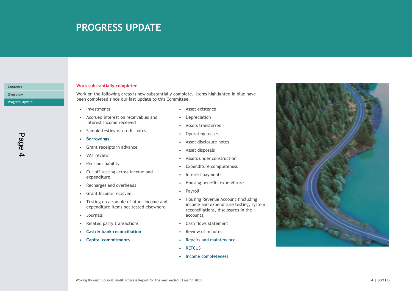# PROGRESS UPDATE

Progress Update

Contents

Page 4

#### Work substantially completed

• PROGRESS UPDATE<br>
• Investmentially completed<br>
• Investments<br>
• Investments<br>
• Investments<br>
• Investments<br>
• Investments<br>
• Investments<br>
• Investments<br>
• Investments<br>
• Investments<br>
• Investments<br>
• Investments<br>
• Interes • PROGRESS UPDATE<br>
• Accrued interest on receivables and the following areas is now substantially complete. Items highlighted in blue<br>
• Investments<br>
• Acset existence<br>
• Accrued interest income receivables and<br>
• Sample t • **PROGRESS UPDATE**<br>• Sample testing ompleted<br>• Sample testing areas is now substantially complete. Items highlighted in blue<br>• Growth on the following areas is now substantially complete. Items highlighted in blue<br>• Inves • Constantially completed<br>
• Grant Substantially completed<br>
• Grant receiving areas is now substantially complete. Items highlighted in blue<br>
• Exercuted increase our last update to this Committee.<br>
• Asset existence<br>
• C FORMED SUPPAIL<br>
Fork substantially completed<br>
een completed since our last update to this Complete. Items highlighted in blue<br>
een completed since our last update to this Committee.<br>
• Investments<br>
• Concert income receive <table>\n<tbody>\n<tr>\n<th>Ork substantially completed</th>\n<th>Ork</th>\n<th>substantially completed</th>\n</tr>\n<tr>\n<td>Ork on the following areas is now substantially complete. Items highlighted in blue<br/>een completed since our last update to this Committee.</td>\n</tr>\n<tr>\n<td>• Invertments</td>\n<td>• Asset existence</td>\n</tr>\n<tr>\n<td>• Acreud interest on receivables and</td>\n<td>• Depreciation</td>\n</tr>\n<tr>\n<td>• its expected increase</td>\n<td>• Asset distance</td>\n</tr>\n<tr>\n<td>• Some testing of credit notes</td>\n<td>• Asset distance</td>\n</tr>\n<tr>\n<td>• a more interesting class</td>\n<td>• Asset discussed</td>\n Fork substantially completed<br>
Fork on the following areas is now substantially complete. Items highlighted in blue<br>
een completed since our last update to this Committee.<br>
• Investments<br>
• Cut of testing of credit notes <table>\n<tbody>\n<tr>\n<th>York substantially completed</th>\n<th>Work substantially completed</th>\n</tr>\n<tr>\n<td>fork on the following areas is now substantially complete. Items highlighted in blue</td>\n</tr>\n<tr>\n<td>even completed since our last update to this Committee.</td>\n<td>Asset existence</td>\n</tr>\n<tr>\n<td>• According interest on received</td>\n<td>Asset instance</td>\n</tr>\n<tr>\n<td>• Ascreted interest on received</td>\n<td>Asest asr</td>\n</tr>\n<tr>\n<td>• Converving</td>\n<td>• Asset distance</td>\n</tr>\n<tr>\n<td>• Converving</td>\n<td>• Asset distance</td>\n</tr>\n<tr>\n<td>• Forowings</td>\n<td>• A Fork substantially completed<br>
Fork on the following areas is now substantially complete. Items highlighted in blue<br>
een completed since our last update to this Committee.<br>
• Asset existence<br>
• Accrued interest income Fork substantially completed<br>
Fork on the following areas is now substantially complete. Items highlighted in blue<br>
even completed since our last update to this Committee.<br>
• Investments<br>
• Accrued interest in creeivabl For the following areas is now substantially complete. Items highlighted in blue<br>
even completed since our last update to this Committee.<br>
• Journalist Committee and the control of the committee of the control of the commi Work on the following areas is now substantially complete. Items highlighted in blue have Overview been completed since our last update to this Committee.

- 
- interest income received
- 
- 
- 
- 
- 
- expenditure
- 
- 
- expenditure items not tested elsewhere
- 
- 
- 
- 
- 
- 
- 
- 
- 
- 
- 
- 
- 
- 
- 
- exampleted since our last update to this Committee.<br>
 Asset existence<br>
 Accrued interest income receivables and<br>
 Depreciation<br>
 Sample testing of credit notes<br>
 Sample testing for credit notes<br>
 Caset disclosure not income and expenditure testing, system reconciliations, disclosures in the accounts)
	-
	-
- Capital commitments **•** Repairs and maintenance
	-
	-